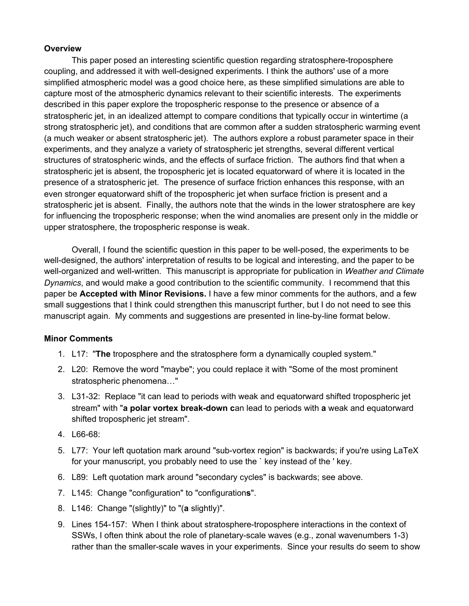## **Overview**

This paper posed an interesting scientific question regarding stratosphere-troposphere coupling, and addressed it with well-designed experiments. I think the authors' use of a more simplified atmospheric model was a good choice here, as these simplified simulations are able to capture most of the atmospheric dynamics relevant to their scientific interests. The experiments described in this paper explore the tropospheric response to the presence or absence of a stratospheric jet, in an idealized attempt to compare conditions that typically occur in wintertime (a strong stratospheric jet), and conditions that are common after a sudden stratospheric warming event (a much weaker or absent stratospheric jet). The authors explore a robust parameter space in their experiments, and they analyze a variety of stratospheric jet strengths, several different vertical structures of stratospheric winds, and the effects of surface friction. The authors find that when a stratospheric jet is absent, the tropospheric jet is located equatorward of where it is located in the presence of a stratospheric jet. The presence of surface friction enhances this response, with an even stronger equatorward shift of the tropospheric jet when surface friction is present and a stratospheric jet is absent. Finally, the authors note that the winds in the lower stratosphere are key for influencing the tropospheric response; when the wind anomalies are present only in the middle or upper stratosphere, the tropospheric response is weak.

Overall, I found the scientific question in this paper to be well-posed, the experiments to be well-designed, the authors' interpretation of results to be logical and interesting, and the paper to be well-organized and well-written. This manuscript is appropriate for publication in *Weather and Climate Dynamics*, and would make a good contribution to the scientific community. I recommend that this paper be **Accepted with Minor Revisions.** I have a few minor comments for the authors, and a few small suggestions that I think could strengthen this manuscript further, but I do not need to see this manuscript again. My comments and suggestions are presented in line-by-line format below.

## **Minor Comments**

- 1. L17: "**The** troposphere and the stratosphere form a dynamically coupled system."
- 2. L20: Remove the word "maybe"; you could replace it with "Some of the most prominent stratospheric phenomena…"
- 3. L31-32: Replace "it can lead to periods with weak and equatorward shifted tropospheric jet stream" with "**a polar vortex break-down c**an lead to periods with **a** weak and equatorward shifted tropospheric jet stream".
- 4. L66-68:
- 5. L77: Your left quotation mark around "sub-vortex region" is backwards; if you're using LaTeX for your manuscript, you probably need to use the ` key instead of the ' key.
- 6. L89: Left quotation mark around "secondary cycles" is backwards; see above.
- 7. L145: Change "configuration" to "configuration**s**".
- 8. L146: Change "(slightly)" to "(**a** slightly)".
- 9. Lines 154-157: When I think about stratosphere-troposphere interactions in the context of SSWs, I often think about the role of planetary-scale waves (e.g., zonal wavenumbers 1-3) rather than the smaller-scale waves in your experiments. Since your results do seem to show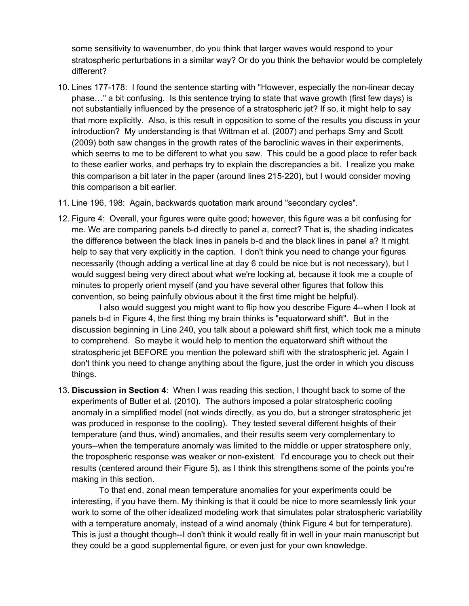some sensitivity to wavenumber, do you think that larger waves would respond to your stratospheric perturbations in a similar way? Or do you think the behavior would be completely different?

- 10. Lines 177-178: I found the sentence starting with "However, especially the non-linear decay phase…" a bit confusing. Is this sentence trying to state that wave growth (first few days) is not substantially influenced by the presence of a stratospheric jet? If so, it might help to say that more explicitly. Also, is this result in opposition to some of the results you discuss in your introduction? My understanding is that Wittman et al. (2007) and perhaps Smy and Scott (2009) both saw changes in the growth rates of the baroclinic waves in their experiments, which seems to me to be different to what you saw. This could be a good place to refer back to these earlier works, and perhaps try to explain the discrepancies a bit. I realize you make this comparison a bit later in the paper (around lines 215-220), but I would consider moving this comparison a bit earlier.
- 11. Line 196, 198: Again, backwards quotation mark around "secondary cycles".
- 12. Figure 4: Overall, your figures were quite good; however, this figure was a bit confusing for me. We are comparing panels b-d directly to panel a, correct? That is, the shading indicates the difference between the black lines in panels b-d and the black lines in panel a? It might help to say that very explicitly in the caption. I don't think you need to change your figures necessarily (though adding a vertical line at day 6 could be nice but is not necessary), but I would suggest being very direct about what we're looking at, because it took me a couple of minutes to properly orient myself (and you have several other figures that follow this convention, so being painfully obvious about it the first time might be helpful).

I also would suggest you might want to flip how you describe Figure 4--when I look at panels b-d in Figure 4, the first thing my brain thinks is "equatorward shift". But in the discussion beginning in Line 240, you talk about a poleward shift first, which took me a minute to comprehend. So maybe it would help to mention the equatorward shift without the stratospheric jet BEFORE you mention the poleward shift with the stratospheric jet. Again I don't think you need to change anything about the figure, just the order in which you discuss things.

13. **Discussion in Section 4**: When I was reading this section, I thought back to some of the experiments of Butler et al. (2010). The authors imposed a polar stratospheric cooling anomaly in a simplified model (not winds directly, as you do, but a stronger stratospheric jet was produced in response to the cooling). They tested several different heights of their temperature (and thus, wind) anomalies, and their results seem very complementary to yours--when the temperature anomaly was limited to the middle or upper stratosphere only, the tropospheric response was weaker or non-existent. I'd encourage you to check out their results (centered around their Figure 5), as I think this strengthens some of the points you're making in this section.

To that end, zonal mean temperature anomalies for your experiments could be interesting, if you have them. My thinking is that it could be nice to more seamlessly link your work to some of the other idealized modeling work that simulates polar stratospheric variability with a temperature anomaly, instead of a wind anomaly (think Figure 4 but for temperature). This is just a thought though--I don't think it would really fit in well in your main manuscript but they could be a good supplemental figure, or even just for your own knowledge.